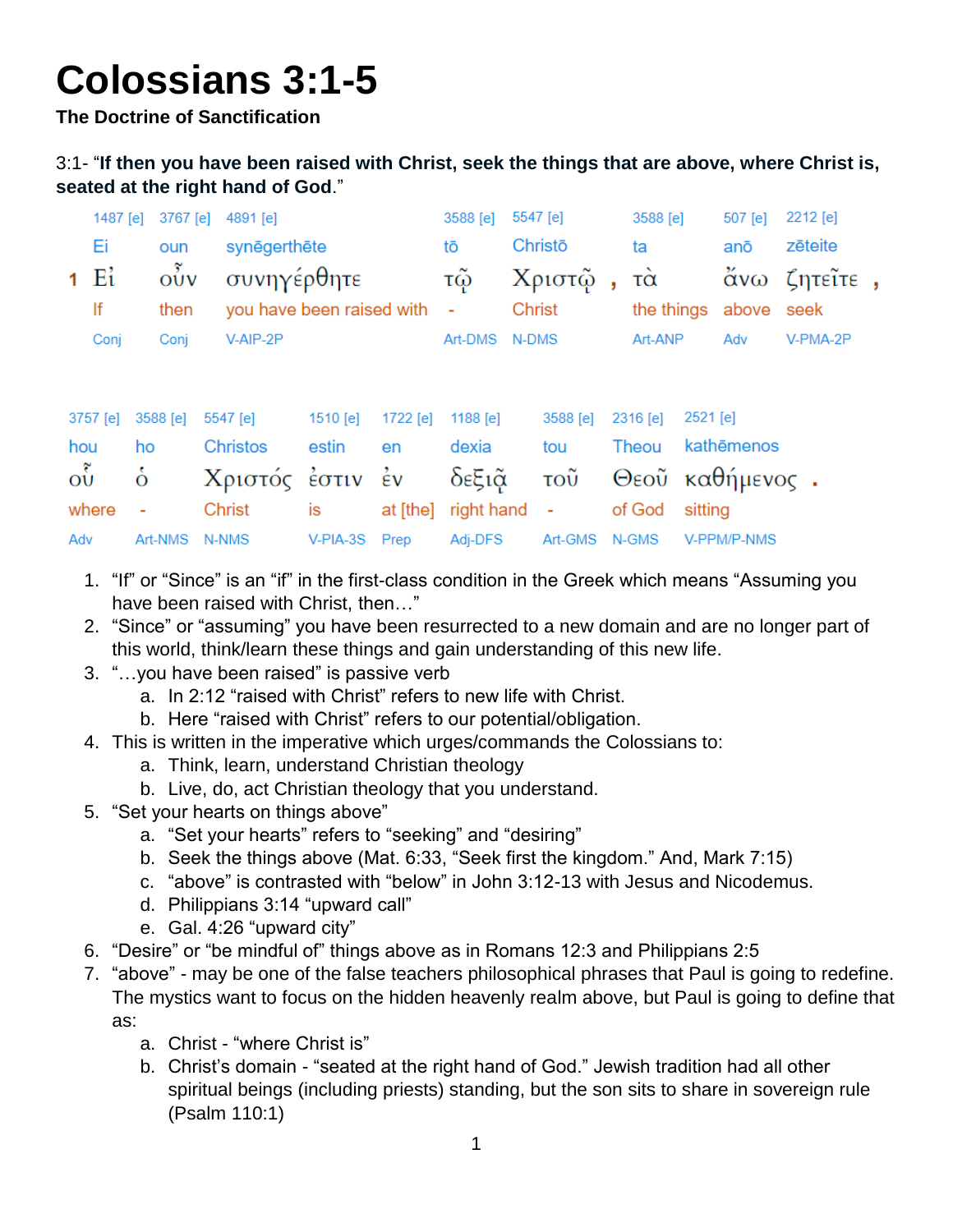# **Colossians 3:1-5**

**The Doctrine of Sanctification**

#### 3:1- "**If then you have been raised with Christ, seek the things that are above, where Christ is, seated at the right hand of God**."

|               | 1487 [e] 3767 [e] 4891 [e] |                                    | 3588 [e] 5547 [e] |                            | 3588 [e]              |     | 507 [e] 2212 [e] |
|---------------|----------------------------|------------------------------------|-------------------|----------------------------|-----------------------|-----|------------------|
| Ei L          | oun                        | synēgerthēte                       | tō                | Christō                    | ta                    | anō | zēteite          |
|               |                            | 1 Εί οὖν συνηγέρθητε               |                   | τῷ Χριστῷ, τὰ ἄνω ζητεῖτε, |                       |     |                  |
| $\mathsf{If}$ | then                       | you have been raised with - Christ |                   |                            | the things above seek |     |                  |
| Conj          | Conj                       | V-AIP-2P                           | Art-DMS N-DMS     |                            | Art-ANP               | Adv | V-PMA-2P         |

|  | 3757 [e] 3588 [e] 5547 [e] 1510 [e] 1722 [e] 1188 [e] 3588 [e] 2316 [e] 2521 [e] |  |  |                                                     |  |
|--|----------------------------------------------------------------------------------|--|--|-----------------------------------------------------|--|
|  |                                                                                  |  |  | hou ho Christos estin en dexia tou Theou kathēmenos |  |
|  |                                                                                  |  |  | ού ο Χριστός έστιν έν δεξιά του Θεού καθήμενος.     |  |
|  | where - Christ is at [the] right hand - of God sitting                           |  |  |                                                     |  |
|  | Adv Art-NMS N-NMS V-PIA-3S Prep Adj-DFS Art-GMS N-GMS V-PPM/P-NMS                |  |  |                                                     |  |

- 1. "If" or "Since" is an "if" in the first-class condition in the Greek which means "Assuming you have been raised with Christ, then…"
- 2. "Since" or "assuming" you have been resurrected to a new domain and are no longer part of this world, think/learn these things and gain understanding of this new life.
- 3. "…you have been raised" is passive verb
	- a. In 2:12 "raised with Christ" refers to new life with Christ.
	- b. Here "raised with Christ" refers to our potential/obligation.
- 4. This is written in the imperative which urges/commands the Colossians to:
	- a. Think, learn, understand Christian theology
	- b. Live, do, act Christian theology that you understand.
- 5. "Set your hearts on things above"
	- a. "Set your hearts" refers to "seeking" and "desiring"
	- b. Seek the things above (Mat. 6:33, "Seek first the kingdom." And, Mark 7:15)
	- c. "above" is contrasted with "below" in John 3:12-13 with Jesus and Nicodemus.
	- d. Philippians 3:14 "upward call"
	- e. Gal. 4:26 "upward city"
- 6. "Desire" or "be mindful of" things above as in Romans 12:3 and Philippians 2:5
- 7. "above" may be one of the false teachers philosophical phrases that Paul is going to redefine. The mystics want to focus on the hidden heavenly realm above, but Paul is going to define that as:
	- a. Christ "where Christ is"
	- b. Christ's domain "seated at the right hand of God." Jewish tradition had all other spiritual beings (including priests) standing, but the son sits to share in sovereign rule (Psalm 110:1)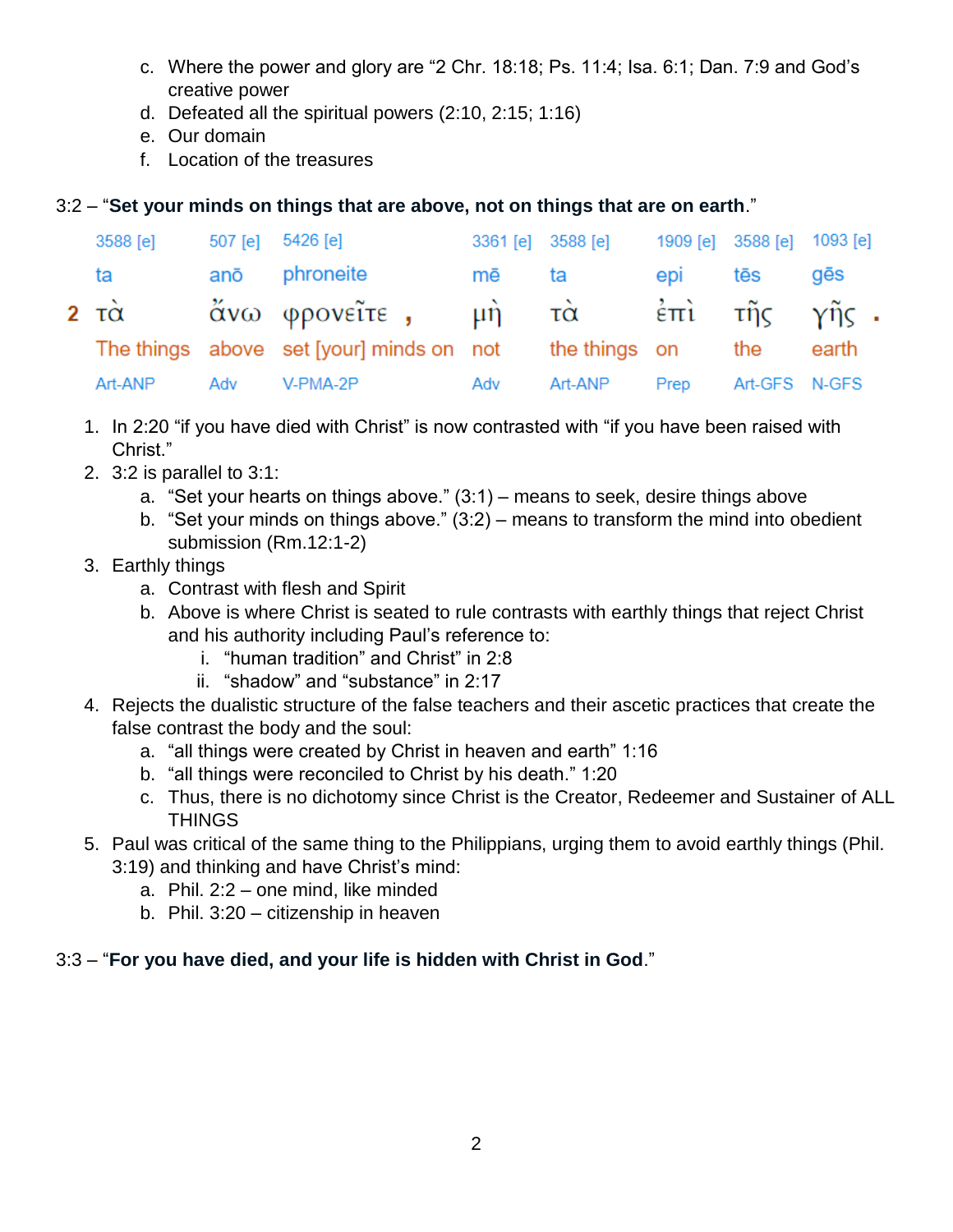- c. Where the power and glory are "2 Chr. 18:18; Ps. 11:4; Isa. 6:1; Dan. 7:9 and God's creative power
- d. Defeated all the spiritual powers (2:10, 2:15; 1:16)
- e. Our domain
- f. Location of the treasures

### 3:2 – "**Set your minds on things that are above, not on things that are on earth**."

| 3588 [e] |     | 507 [e] 5426 [e]                                           | 3361 [e] 3588 [e] |         |         | 1909 [e] 3588 [e] 1093 [e] |       |
|----------|-----|------------------------------------------------------------|-------------------|---------|---------|----------------------------|-------|
| ta       |     | anō phroneite                                              | mē ta             |         | epi tēs |                            | gēs   |
|          |     | 2 τὰ - ἄνω φρονεῖτε , - μὴ - τὰ - ἐπὶ - τῆς - γῆς .        |                   |         |         |                            |       |
|          |     | The things above set [your] minds on not the things on the |                   |         |         |                            | earth |
| Art-ANP  | Adv | V-PMA-2P                                                   | Adv               | Art-ANP | Prep    | Art-GFS N-GFS              |       |

- 1. In 2:20 "if you have died with Christ" is now contrasted with "if you have been raised with Christ."
- 2. 3:2 is parallel to 3:1:
	- a. "Set your hearts on things above."  $(3:1)$  means to seek, desire things above
	- b. "Set your minds on things above." (3:2) means to transform the mind into obedient submission (Rm.12:1-2)
- 3. Earthly things
	- a. Contrast with flesh and Spirit
	- b. Above is where Christ is seated to rule contrasts with earthly things that reject Christ and his authority including Paul's reference to:
		- i. "human tradition" and Christ" in 2:8
		- ii. "shadow" and "substance" in 2:17
- 4. Rejects the dualistic structure of the false teachers and their ascetic practices that create the false contrast the body and the soul:
	- a. "all things were created by Christ in heaven and earth" 1:16
	- b. "all things were reconciled to Christ by his death." 1:20
	- c. Thus, there is no dichotomy since Christ is the Creator, Redeemer and Sustainer of ALL **THINGS**
- 5. Paul was critical of the same thing to the Philippians, urging them to avoid earthly things (Phil.
	- 3:19) and thinking and have Christ's mind:
		- a. Phil. 2:2 one mind, like minded
		- b. Phil. 3:20 citizenship in heaven

#### 3:3 – "**For you have died, and your life is hidden with Christ in God**."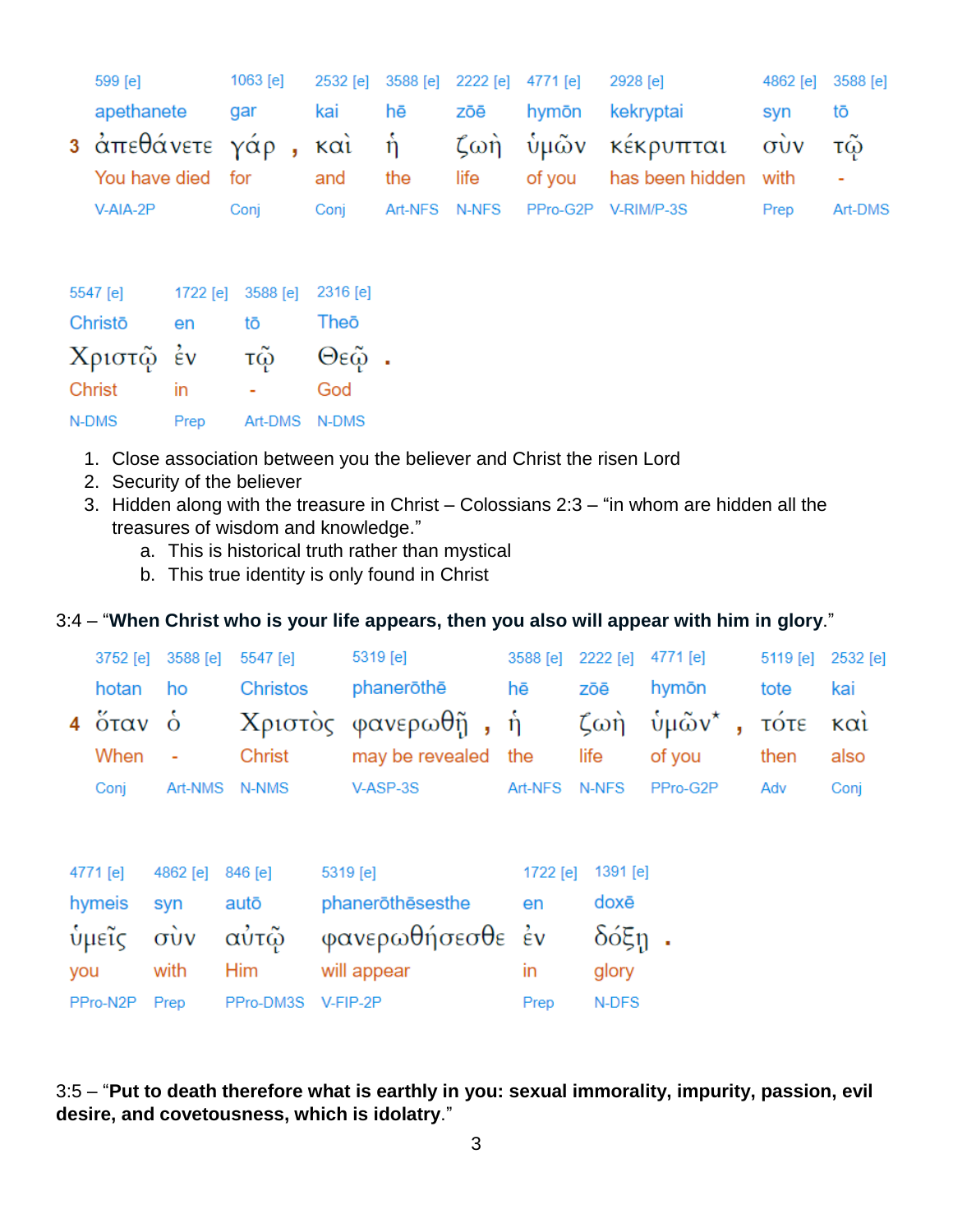| 599 [e] |                   | 1063 [e] | 2532 [e]                         | 3588 [e]<br>2222 [e]<br>2928 [e]<br>4771 [e] |           |       | 4862 [e] | 3588 [e]        |                               |                |
|---------|-------------------|----------|----------------------------------|----------------------------------------------|-----------|-------|----------|-----------------|-------------------------------|----------------|
|         | apethanete        |          | gar                              | kai                                          | hē<br>zōē |       | hymōn    | kekryptai       | syn                           | tō             |
|         |                   |          | 3 ἀπεθάνετε γάρ , καὶ ή ζωὴ ὑμῶν |                                              |           |       |          | κέκρυπται       | $\vec{\sigma}$ $\vec{\sigma}$ | τῷ             |
|         | You have died for |          |                                  | and                                          | the       | life  | of you   | has been hidden | with                          | $\blacksquare$ |
|         | V-AIA-2P          |          | Conj                             | Conj                                         | Art-NFS   | N-NFS | PPro-G2P | V-RIM/P-3S      | Prep                          | Art-DMS        |
|         |                   |          |                                  |                                              |           |       |          |                 |                               |                |
|         | 5547 [e]          | 1722 [e] | 3588 [e]                         | $2316$ [e]                                   |           |       |          |                 |                               |                |
|         | Christō           | en       | tō                               | Theō                                         |           |       |          |                 |                               |                |
|         | Χριστῷ            | έν       | τῷ                               | Θεῷ.                                         |           |       |          |                 |                               |                |
|         | Christ            | in       | ۰                                | God                                          |           |       |          |                 |                               |                |
|         | N-DMS             | Prep     | Art-DMS                          | N-DMS                                        |           |       |          |                 |                               |                |

- 1. Close association between you the believer and Christ the risen Lord
- 2. Security of the believer
- 3. Hidden along with the treasure in Christ Colossians 2:3 "in whom are hidden all the treasures of wisdom and knowledge."
	- a. This is historical truth rather than mystical
	- b. This true identity is only found in Christ

#### 3:4 – "**When Christ who is your life appears, then you also will appear with him in glory**."

|                               | 3752 [e]                                 | 3588 [e]           | 5547 [e]        |                  | 5319 [e]            | 3588 [e] | 2222 [e]                          | 4771 [e]          |   | 5119 [e] | 2532 [e]          |
|-------------------------------|------------------------------------------|--------------------|-----------------|------------------|---------------------|----------|-----------------------------------|-------------------|---|----------|-------------------|
| hotan                         |                                          | ho                 | <b>Christos</b> |                  | phanerothe          | hē       | zōē                               | hymōn             |   | tote     | kai               |
|                               | $4\degree$ $\frac{6}{10}$ $\frac{1}{10}$ | $\dot{\mathbf{o}}$ |                 |                  | Χριστός φανερωθῆ, ἡ |          | $\mathcal{L} \omega \mathfrak{n}$ | νμῶν <sup>*</sup> | ÿ | τότε     | $\kappa \alpha i$ |
|                               | When                                     | ۰                  | Christ          |                  | may be revealed     | the      | life                              | of you            |   | then     | also              |
|                               | Conj                                     | Art-NMS            | N-NMS           |                  | V-ASP-3S            | Art-NFS  | N-NFS                             | PPro-G2P          |   | Adv      | Conj              |
|                               |                                          |                    |                 |                  |                     |          |                                   |                   |   |          |                   |
|                               |                                          |                    |                 |                  |                     |          |                                   |                   |   |          |                   |
|                               | 4771 [e]                                 | 4862 [e]           | 846 [e]         | 5319 [e]         |                     | 1722 [e] | 1391 $[e]$                        |                   |   |          |                   |
|                               | hymeis                                   | syn                | autō            |                  | phanerothesesthe    |          | doxē                              |                   |   |          |                   |
| $\vec{\sigma}$<br>ύμεῖς       |                                          | αὐτῷ               |                 | φανερωθήσεσθε έν |                     | δόξη     |                                   |                   |   |          |                   |
| you                           |                                          | with               | <b>Him</b>      | will appear      |                     | in       | glory                             |                   |   |          |                   |
| PPro-DM3S<br>PPro-N2P<br>Prep |                                          |                    | V-FIP-2P        |                  | N-DFS               |          |                                   |                   |   |          |                   |

3:5 – "**Put to death therefore what is earthly in you: sexual immorality, impurity, passion, evil desire, and covetousness, which is idolatry**."